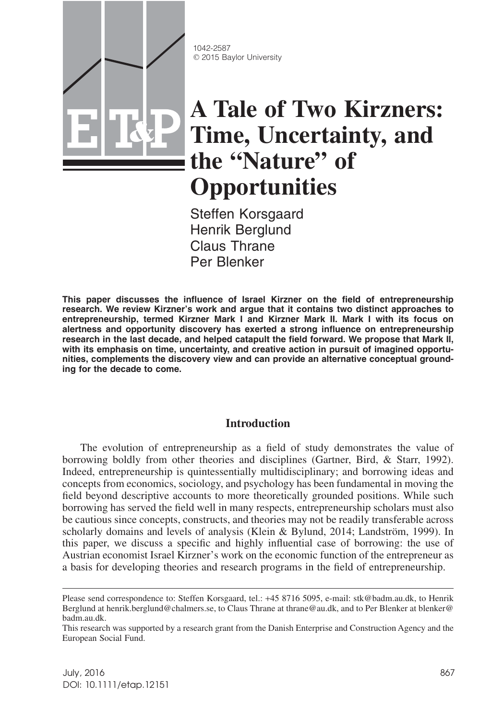

1042-2587 © 2015 Baylor University

# **A Tale of Two Kirzners: Time, Uncertainty, and the "Nature" of Opportunities**

Steffen Korsgaard Henrik Berglund Claus Thrane Per Blenker

**This paper discusses the influence of Israel Kirzner on the field of entrepreneurship research. We review Kirzner's work and argue that it contains two distinct approaches to entrepreneurship, termed Kirzner Mark I and Kirzner Mark II. Mark I with its focus on alertness and opportunity discovery has exerted a strong influence on entrepreneurship research in the last decade, and helped catapult the field forward. We propose that Mark II, with its emphasis on time, uncertainty, and creative action in pursuit of imagined opportunities, complements the discovery view and can provide an alternative conceptual grounding for the decade to come.**

# **Introduction**

The evolution of entrepreneurship as a field of study demonstrates the value of borrowing boldly from other theories and disciplines (Gartner, Bird, & Starr, 1992). Indeed, entrepreneurship is quintessentially multidisciplinary; and borrowing ideas and concepts from economics, sociology, and psychology has been fundamental in moving the field beyond descriptive accounts to more theoretically grounded positions. While such borrowing has served the field well in many respects, entrepreneurship scholars must also be cautious since concepts, constructs, and theories may not be readily transferable across scholarly domains and levels of analysis (Klein & Bylund, 2014; Landström, 1999). In this paper, we discuss a specific and highly influential case of borrowing: the use of Austrian economist Israel Kirzner's work on the economic function of the entrepreneur as a basis for developing theories and research programs in the field of entrepreneurship. <sup>1042-2587</sup><br> **DOI:** 1042-2587<br> **DOI:** 1042-2587<br> **DOI:**<br> **COI:**<br> **COI:**<br> **COI:**<br> **COI:**<br> **COI:**<br> **COI:**<br> **COI:**<br> **COI:**<br> **COI:**<br> **COI:**<br> **COI:**<br> **COI:**<br> **COI:**<br> **COI:**<br> **COI:**<br> **COI:**<br> **COI:**<br> **COI:**<br> **COI:**<br> **COI:**<br> **COI:** 

Please send correspondence to: Steffen Korsgaard, tel.: +45 8716 5095, e-mail: stk@badm.au.dk, to Henrik Berglund at henrik.berglund@chalmers.se, to Claus Thrane at thrane@au.dk, and to Per Blenker at blenker@ badm.au.dk.

This research was supported by a research grant from the Danish Enterprise and Construction Agency and the European Social Fund.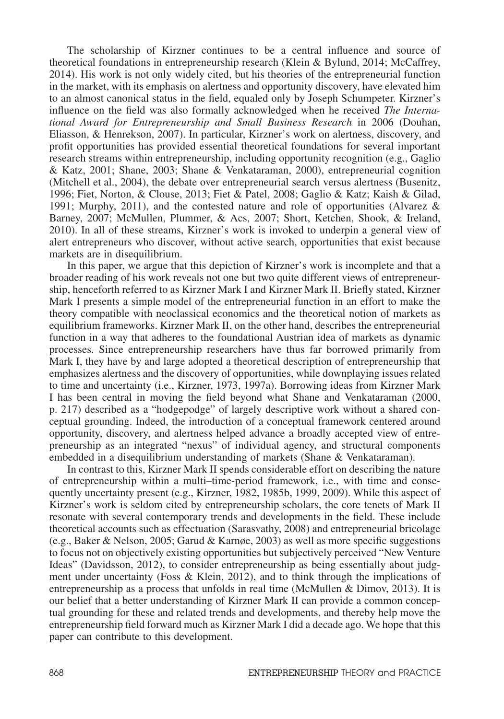The scholarship of Kirzner continues to be a central influence and source of theoretical foundations in entrepreneurship research (Klein & Bylund, 2014; McCaffrey, 2014). His work is not only widely cited, but his theories of the entrepreneurial function in the market, with its emphasis on alertness and opportunity discovery, have elevated him to an almost canonical status in the field, equaled only by Joseph Schumpeter. Kirzner's influence on the field was also formally acknowledged when he received *The International Award for Entrepreneurship and Small Business Research* in 2006 (Douhan, Eliasson, & Henrekson, 2007). In particular, Kirzner's work on alertness, discovery, and profit opportunities has provided essential theoretical foundations for several important research streams within entrepreneurship, including opportunity recognition (e.g., Gaglio & Katz, 2001; Shane, 2003; Shane & Venkataraman, 2000), entrepreneurial cognition (Mitchell et al., 2004), the debate over entrepreneurial search versus alertness (Busenitz, 1996; Fiet, Norton, & Clouse, 2013; Fiet & Patel, 2008; Gaglio & Katz; Kaish & Gilad, 1991; Murphy, 2011), and the contested nature and role of opportunities (Alvarez & Barney, 2007; McMullen, Plummer, & Acs, 2007; Short, Ketchen, Shook, & Ireland, 2010). In all of these streams, Kirzner's work is invoked to underpin a general view of alert entrepreneurs who discover, without active search, opportunities that exist because markets are in disequilibrium.

In this paper, we argue that this depiction of Kirzner's work is incomplete and that a broader reading of his work reveals not one but two quite different views of entrepreneurship, henceforth referred to as Kirzner Mark I and Kirzner Mark II. Briefly stated, Kirzner Mark I presents a simple model of the entrepreneurial function in an effort to make the theory compatible with neoclassical economics and the theoretical notion of markets as equilibrium frameworks. Kirzner Mark II, on the other hand, describes the entrepreneurial function in a way that adheres to the foundational Austrian idea of markets as dynamic processes. Since entrepreneurship researchers have thus far borrowed primarily from Mark I, they have by and large adopted a theoretical description of entrepreneurship that emphasizes alertness and the discovery of opportunities, while downplaying issues related to time and uncertainty (i.e., Kirzner, 1973, 1997a). Borrowing ideas from Kirzner Mark I has been central in moving the field beyond what Shane and Venkataraman (2000, p. 217) described as a "hodgepodge" of largely descriptive work without a shared conceptual grounding. Indeed, the introduction of a conceptual framework centered around opportunity, discovery, and alertness helped advance a broadly accepted view of entrepreneurship as an integrated "nexus" of individual agency, and structural components embedded in a disequilibrium understanding of markets (Shane & Venkataraman).

In contrast to this, Kirzner Mark II spends considerable effort on describing the nature of entrepreneurship within a multi–time-period framework, i.e., with time and consequently uncertainty present (e.g., Kirzner, 1982, 1985b, 1999, 2009). While this aspect of Kirzner's work is seldom cited by entrepreneurship scholars, the core tenets of Mark II resonate with several contemporary trends and developments in the field. These include theoretical accounts such as effectuation (Sarasvathy, 2008) and entrepreneurial bricolage (e.g., Baker & Nelson, 2005; Garud & Karnøe, 2003) as well as more specific suggestions to focus not on objectively existing opportunities but subjectively perceived "New Venture Ideas" (Davidsson, 2012), to consider entrepreneurship as being essentially about judgment under uncertainty (Foss & Klein, 2012), and to think through the implications of entrepreneurship as a process that unfolds in real time (McMullen  $& Dimov, 2013$ ). It is our belief that a better understanding of Kirzner Mark II can provide a common conceptual grounding for these and related trends and developments, and thereby help move the entrepreneurship field forward much as Kirzner Mark I did a decade ago. We hope that this paper can contribute to this development.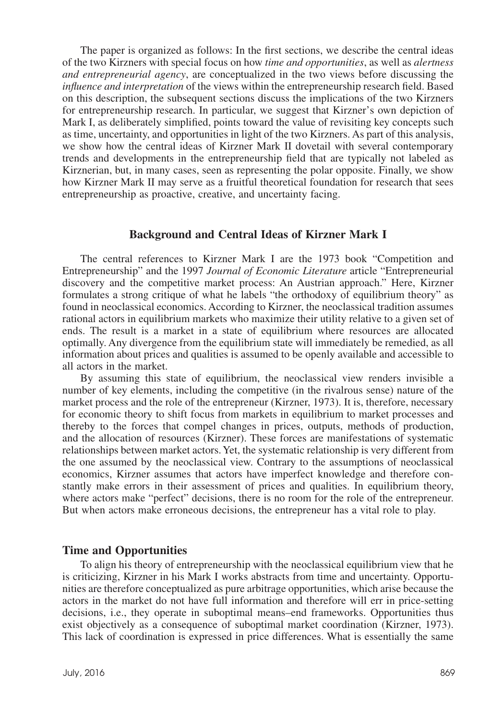The paper is organized as follows: In the first sections, we describe the central ideas of the two Kirzners with special focus on how *time and opportunities*, as well as *alertness and entrepreneurial agency*, are conceptualized in the two views before discussing the *influence and interpretation* of the views within the entrepreneurship research field. Based on this description, the subsequent sections discuss the implications of the two Kirzners for entrepreneurship research. In particular, we suggest that Kirzner's own depiction of Mark I, as deliberately simplified, points toward the value of revisiting key concepts such as time, uncertainty, and opportunities in light of the two Kirzners. As part of this analysis, we show how the central ideas of Kirzner Mark II dovetail with several contemporary trends and developments in the entrepreneurship field that are typically not labeled as Kirznerian, but, in many cases, seen as representing the polar opposite. Finally, we show how Kirzner Mark II may serve as a fruitful theoretical foundation for research that sees entrepreneurship as proactive, creative, and uncertainty facing.

#### **Background and Central Ideas of Kirzner Mark I**

The central references to Kirzner Mark I are the 1973 book "Competition and Entrepreneurship" and the 1997 *Journal of Economic Literature* article "Entrepreneurial discovery and the competitive market process: An Austrian approach." Here, Kirzner formulates a strong critique of what he labels "the orthodoxy of equilibrium theory" as found in neoclassical economics. According to Kirzner, the neoclassical tradition assumes rational actors in equilibrium markets who maximize their utility relative to a given set of ends. The result is a market in a state of equilibrium where resources are allocated optimally. Any divergence from the equilibrium state will immediately be remedied, as all information about prices and qualities is assumed to be openly available and accessible to all actors in the market.

By assuming this state of equilibrium, the neoclassical view renders invisible a number of key elements, including the competitive (in the rivalrous sense) nature of the market process and the role of the entrepreneur (Kirzner, 1973). It is, therefore, necessary for economic theory to shift focus from markets in equilibrium to market processes and thereby to the forces that compel changes in prices, outputs, methods of production, and the allocation of resources (Kirzner). These forces are manifestations of systematic relationships between market actors. Yet, the systematic relationship is very different from the one assumed by the neoclassical view. Contrary to the assumptions of neoclassical economics, Kirzner assumes that actors have imperfect knowledge and therefore constantly make errors in their assessment of prices and qualities. In equilibrium theory, where actors make "perfect" decisions, there is no room for the role of the entrepreneur. But when actors make erroneous decisions, the entrepreneur has a vital role to play.

#### **Time and Opportunities**

To align his theory of entrepreneurship with the neoclassical equilibrium view that he is criticizing, Kirzner in his Mark I works abstracts from time and uncertainty. Opportunities are therefore conceptualized as pure arbitrage opportunities, which arise because the actors in the market do not have full information and therefore will err in price-setting decisions, i.e., they operate in suboptimal means–end frameworks. Opportunities thus exist objectively as a consequence of suboptimal market coordination (Kirzner, 1973). This lack of coordination is expressed in price differences. What is essentially the same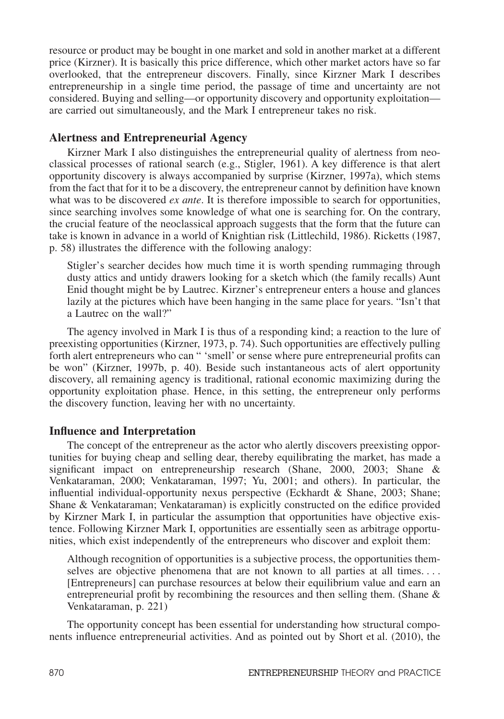resource or product may be bought in one market and sold in another market at a different price (Kirzner). It is basically this price difference, which other market actors have so far overlooked, that the entrepreneur discovers. Finally, since Kirzner Mark I describes entrepreneurship in a single time period, the passage of time and uncertainty are not considered. Buying and selling—or opportunity discovery and opportunity exploitation are carried out simultaneously, and the Mark I entrepreneur takes no risk.

## **Alertness and Entrepreneurial Agency**

Kirzner Mark I also distinguishes the entrepreneurial quality of alertness from neoclassical processes of rational search (e.g., Stigler, 1961). A key difference is that alert opportunity discovery is always accompanied by surprise (Kirzner, 1997a), which stems from the fact that for it to be a discovery, the entrepreneur cannot by definition have known what was to be discovered *ex ante*. It is therefore impossible to search for opportunities, since searching involves some knowledge of what one is searching for. On the contrary, the crucial feature of the neoclassical approach suggests that the form that the future can take is known in advance in a world of Knightian risk (Littlechild, 1986). Ricketts (1987, p. 58) illustrates the difference with the following analogy:

Stigler's searcher decides how much time it is worth spending rummaging through dusty attics and untidy drawers looking for a sketch which (the family recalls) Aunt Enid thought might be by Lautrec. Kirzner's entrepreneur enters a house and glances lazily at the pictures which have been hanging in the same place for years. "Isn't that a Lautrec on the wall?"

The agency involved in Mark I is thus of a responding kind; a reaction to the lure of preexisting opportunities (Kirzner, 1973, p. 74). Such opportunities are effectively pulling forth alert entrepreneurs who can " 'smell' or sense where pure entrepreneurial profits can be won" (Kirzner, 1997b, p. 40). Beside such instantaneous acts of alert opportunity discovery, all remaining agency is traditional, rational economic maximizing during the opportunity exploitation phase. Hence, in this setting, the entrepreneur only performs the discovery function, leaving her with no uncertainty.

# **Influence and Interpretation**

The concept of the entrepreneur as the actor who alertly discovers preexisting opportunities for buying cheap and selling dear, thereby equilibrating the market, has made a significant impact on entrepreneurship research (Shane, 2000, 2003; Shane & Venkataraman, 2000; Venkataraman, 1997; Yu, 2001; and others). In particular, the influential individual-opportunity nexus perspective (Eckhardt & Shane, 2003; Shane; Shane & Venkataraman; Venkataraman) is explicitly constructed on the edifice provided by Kirzner Mark I, in particular the assumption that opportunities have objective existence. Following Kirzner Mark I, opportunities are essentially seen as arbitrage opportunities, which exist independently of the entrepreneurs who discover and exploit them:

Although recognition of opportunities is a subjective process, the opportunities themselves are objective phenomena that are not known to all parties at all times.... [Entrepreneurs] can purchase resources at below their equilibrium value and earn an entrepreneurial profit by recombining the resources and then selling them. (Shane  $\&$ Venkataraman, p. 221)

The opportunity concept has been essential for understanding how structural components influence entrepreneurial activities. And as pointed out by Short et al. (2010), the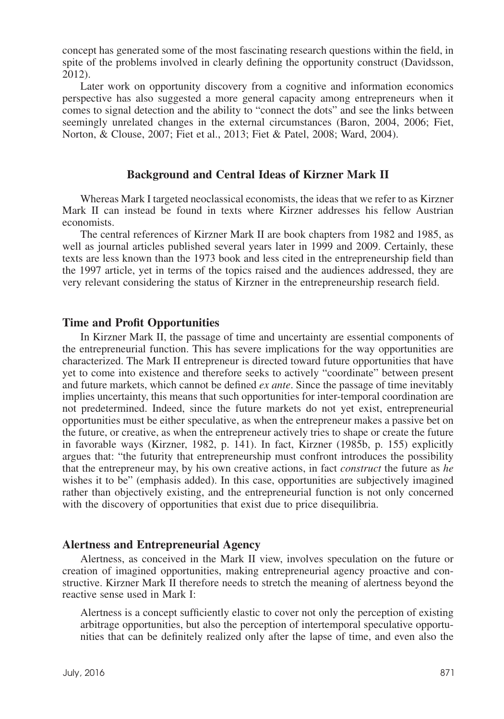concept has generated some of the most fascinating research questions within the field, in spite of the problems involved in clearly defining the opportunity construct (Davidsson, 2012).

Later work on opportunity discovery from a cognitive and information economics perspective has also suggested a more general capacity among entrepreneurs when it comes to signal detection and the ability to "connect the dots" and see the links between seemingly unrelated changes in the external circumstances (Baron, 2004, 2006; Fiet, Norton, & Clouse, 2007; Fiet et al., 2013; Fiet & Patel, 2008; Ward, 2004).

## **Background and Central Ideas of Kirzner Mark II**

Whereas Mark I targeted neoclassical economists, the ideas that we refer to as Kirzner Mark II can instead be found in texts where Kirzner addresses his fellow Austrian economists.

The central references of Kirzner Mark II are book chapters from 1982 and 1985, as well as journal articles published several years later in 1999 and 2009. Certainly, these texts are less known than the 1973 book and less cited in the entrepreneurship field than the 1997 article, yet in terms of the topics raised and the audiences addressed, they are very relevant considering the status of Kirzner in the entrepreneurship research field.

## **Time and Profit Opportunities**

In Kirzner Mark II, the passage of time and uncertainty are essential components of the entrepreneurial function. This has severe implications for the way opportunities are characterized. The Mark II entrepreneur is directed toward future opportunities that have yet to come into existence and therefore seeks to actively "coordinate" between present and future markets, which cannot be defined *ex ante*. Since the passage of time inevitably implies uncertainty, this means that such opportunities for inter-temporal coordination are not predetermined. Indeed, since the future markets do not yet exist, entrepreneurial opportunities must be either speculative, as when the entrepreneur makes a passive bet on the future, or creative, as when the entrepreneur actively tries to shape or create the future in favorable ways (Kirzner, 1982, p. 141). In fact, Kirzner (1985b, p. 155) explicitly argues that: "the futurity that entrepreneurship must confront introduces the possibility that the entrepreneur may, by his own creative actions, in fact *construct* the future as *he* wishes it to be" (emphasis added). In this case, opportunities are subjectively imagined rather than objectively existing, and the entrepreneurial function is not only concerned with the discovery of opportunities that exist due to price disequilibria.

## **Alertness and Entrepreneurial Agency**

Alertness, as conceived in the Mark II view, involves speculation on the future or creation of imagined opportunities, making entrepreneurial agency proactive and constructive. Kirzner Mark II therefore needs to stretch the meaning of alertness beyond the reactive sense used in Mark I:

Alertness is a concept sufficiently elastic to cover not only the perception of existing arbitrage opportunities, but also the perception of intertemporal speculative opportunities that can be definitely realized only after the lapse of time, and even also the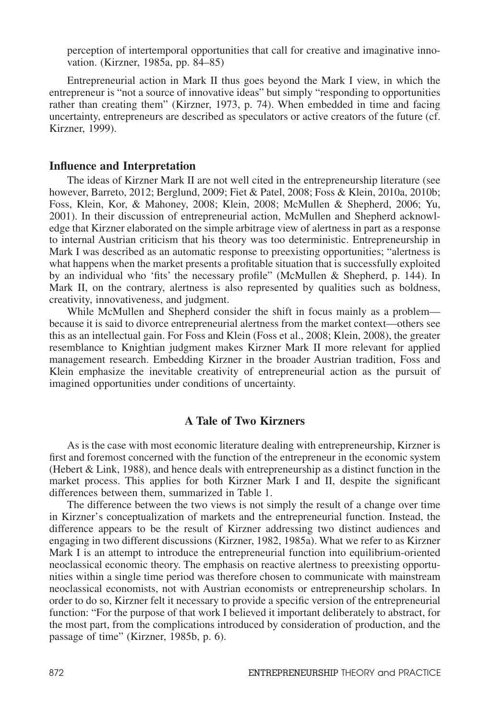perception of intertemporal opportunities that call for creative and imaginative innovation. (Kirzner, 1985a, pp. 84–85)

Entrepreneurial action in Mark II thus goes beyond the Mark I view, in which the entrepreneur is "not a source of innovative ideas" but simply "responding to opportunities rather than creating them" (Kirzner, 1973, p. 74). When embedded in time and facing uncertainty, entrepreneurs are described as speculators or active creators of the future (cf. Kirzner, 1999).

#### **Influence and Interpretation**

The ideas of Kirzner Mark II are not well cited in the entrepreneurship literature (see however, Barreto, 2012; Berglund, 2009; Fiet & Patel, 2008; Foss & Klein, 2010a, 2010b; Foss, Klein, Kor, & Mahoney, 2008; Klein, 2008; McMullen & Shepherd, 2006; Yu, 2001). In their discussion of entrepreneurial action, McMullen and Shepherd acknowledge that Kirzner elaborated on the simple arbitrage view of alertness in part as a response to internal Austrian criticism that his theory was too deterministic. Entrepreneurship in Mark I was described as an automatic response to preexisting opportunities; "alertness is what happens when the market presents a profitable situation that is successfully exploited by an individual who 'fits' the necessary profile" (McMullen & Shepherd, p. 144). In Mark II, on the contrary, alertness is also represented by qualities such as boldness, creativity, innovativeness, and judgment.

While McMullen and Shepherd consider the shift in focus mainly as a problem because it is said to divorce entrepreneurial alertness from the market context—others see this as an intellectual gain. For Foss and Klein (Foss et al., 2008; Klein, 2008), the greater resemblance to Knightian judgment makes Kirzner Mark II more relevant for applied management research. Embedding Kirzner in the broader Austrian tradition, Foss and Klein emphasize the inevitable creativity of entrepreneurial action as the pursuit of imagined opportunities under conditions of uncertainty.

## **A Tale of Two Kirzners**

As is the case with most economic literature dealing with entrepreneurship, Kirzner is first and foremost concerned with the function of the entrepreneur in the economic system (Hebert & Link, 1988), and hence deals with entrepreneurship as a distinct function in the market process. This applies for both Kirzner Mark I and II, despite the significant differences between them, summarized in Table 1.

The difference between the two views is not simply the result of a change over time in Kirzner's conceptualization of markets and the entrepreneurial function. Instead, the difference appears to be the result of Kirzner addressing two distinct audiences and engaging in two different discussions (Kirzner, 1982, 1985a). What we refer to as Kirzner Mark I is an attempt to introduce the entrepreneurial function into equilibrium-oriented neoclassical economic theory. The emphasis on reactive alertness to preexisting opportunities within a single time period was therefore chosen to communicate with mainstream neoclassical economists, not with Austrian economists or entrepreneurship scholars. In order to do so, Kirzner felt it necessary to provide a specific version of the entrepreneurial function: "For the purpose of that work I believed it important deliberately to abstract, for the most part, from the complications introduced by consideration of production, and the passage of time" (Kirzner, 1985b, p. 6).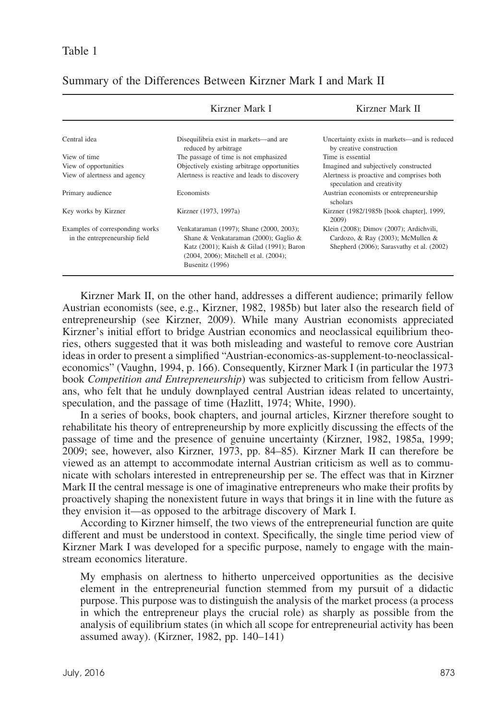|                                                                  | Kirzner Mark I                                                                                                                                                                            | Kirzner Mark II                                                                                                           |
|------------------------------------------------------------------|-------------------------------------------------------------------------------------------------------------------------------------------------------------------------------------------|---------------------------------------------------------------------------------------------------------------------------|
| Central idea                                                     | Disequilibria exist in markets—and are<br>reduced by arbitrage                                                                                                                            | Uncertainty exists in markets—and is reduced<br>by creative construction                                                  |
| View of time                                                     | The passage of time is not emphasized                                                                                                                                                     | Time is essential                                                                                                         |
| View of opportunities                                            | Objectively existing arbitrage opportunities                                                                                                                                              | Imagined and subjectively constructed                                                                                     |
| View of alertness and agency                                     | Alertness is reactive and leads to discovery                                                                                                                                              | Alertness is proactive and comprises both<br>speculation and creativity                                                   |
| Primary audience                                                 | Economists                                                                                                                                                                                | Austrian economists or entrepreneurship<br>scholars                                                                       |
| Key works by Kirzner                                             | Kirzner (1973, 1997a)                                                                                                                                                                     | Kirzner (1982/1985b [book chapter], 1999,<br>2009)                                                                        |
| Examples of corresponding works<br>in the entrepreneurship field | Venkataraman (1997); Shane (2000, 2003);<br>Shane & Venkataraman (2000); Gaglio &<br>Katz (2001); Kaish & Gilad (1991); Baron<br>(2004, 2006); Mitchell et al. (2004);<br>Busenitz (1996) | Klein (2008); Dimov (2007); Ardichvili,<br>Cardozo, & Ray (2003); McMullen &<br>Shepherd (2006); Sarasvathy et al. (2002) |

Summary of the Differences Between Kirzner Mark I and Mark II

Kirzner Mark II, on the other hand, addresses a different audience; primarily fellow Austrian economists (see, e.g., Kirzner, 1982, 1985b) but later also the research field of entrepreneurship (see Kirzner, 2009). While many Austrian economists appreciated Kirzner's initial effort to bridge Austrian economics and neoclassical equilibrium theories, others suggested that it was both misleading and wasteful to remove core Austrian ideas in order to present a simplified "Austrian-economics-as-supplement-to-neoclassicaleconomics" (Vaughn, 1994, p. 166). Consequently, Kirzner Mark I (in particular the 1973 book *Competition and Entrepreneurship*) was subjected to criticism from fellow Austrians, who felt that he unduly downplayed central Austrian ideas related to uncertainty, speculation, and the passage of time (Hazlitt, 1974; White, 1990).

In a series of books, book chapters, and journal articles, Kirzner therefore sought to rehabilitate his theory of entrepreneurship by more explicitly discussing the effects of the passage of time and the presence of genuine uncertainty (Kirzner, 1982, 1985a, 1999; 2009; see, however, also Kirzner, 1973, pp. 84–85). Kirzner Mark II can therefore be viewed as an attempt to accommodate internal Austrian criticism as well as to communicate with scholars interested in entrepreneurship per se. The effect was that in Kirzner Mark II the central message is one of imaginative entrepreneurs who make their profits by proactively shaping the nonexistent future in ways that brings it in line with the future as they envision it—as opposed to the arbitrage discovery of Mark I.

According to Kirzner himself, the two views of the entrepreneurial function are quite different and must be understood in context. Specifically, the single time period view of Kirzner Mark I was developed for a specific purpose, namely to engage with the mainstream economics literature.

My emphasis on alertness to hitherto unperceived opportunities as the decisive element in the entrepreneurial function stemmed from my pursuit of a didactic purpose. This purpose was to distinguish the analysis of the market process (a process in which the entrepreneur plays the crucial role) as sharply as possible from the analysis of equilibrium states (in which all scope for entrepreneurial activity has been assumed away). (Kirzner, 1982, pp. 140–141)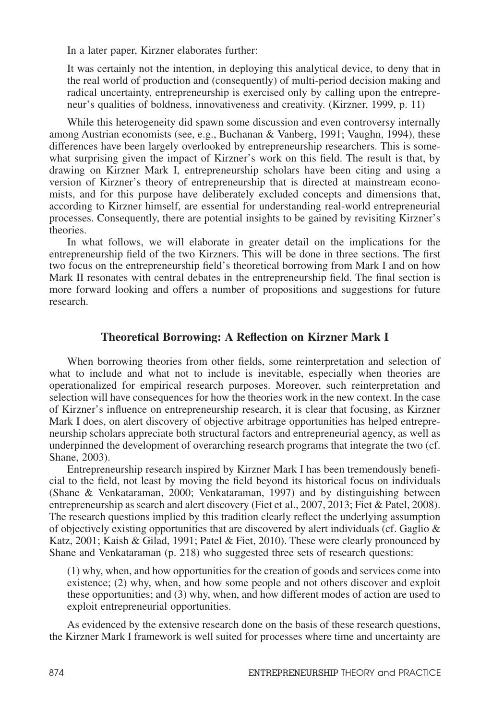In a later paper, Kirzner elaborates further:

It was certainly not the intention, in deploying this analytical device, to deny that in the real world of production and (consequently) of multi-period decision making and radical uncertainty, entrepreneurship is exercised only by calling upon the entrepreneur's qualities of boldness, innovativeness and creativity. (Kirzner, 1999, p. 11)

While this heterogeneity did spawn some discussion and even controversy internally among Austrian economists (see, e.g., Buchanan & Vanberg, 1991; Vaughn, 1994), these differences have been largely overlooked by entrepreneurship researchers. This is somewhat surprising given the impact of Kirzner's work on this field. The result is that, by drawing on Kirzner Mark I, entrepreneurship scholars have been citing and using a version of Kirzner's theory of entrepreneurship that is directed at mainstream economists, and for this purpose have deliberately excluded concepts and dimensions that, according to Kirzner himself, are essential for understanding real-world entrepreneurial processes. Consequently, there are potential insights to be gained by revisiting Kirzner's theories.

In what follows, we will elaborate in greater detail on the implications for the entrepreneurship field of the two Kirzners. This will be done in three sections. The first two focus on the entrepreneurship field's theoretical borrowing from Mark I and on how Mark II resonates with central debates in the entrepreneurship field. The final section is more forward looking and offers a number of propositions and suggestions for future research.

## **Theoretical Borrowing: A Reflection on Kirzner Mark I**

When borrowing theories from other fields, some reinterpretation and selection of what to include and what not to include is inevitable, especially when theories are operationalized for empirical research purposes. Moreover, such reinterpretation and selection will have consequences for how the theories work in the new context. In the case of Kirzner's influence on entrepreneurship research, it is clear that focusing, as Kirzner Mark I does, on alert discovery of objective arbitrage opportunities has helped entrepreneurship scholars appreciate both structural factors and entrepreneurial agency, as well as underpinned the development of overarching research programs that integrate the two (cf. Shane, 2003).

Entrepreneurship research inspired by Kirzner Mark I has been tremendously beneficial to the field, not least by moving the field beyond its historical focus on individuals (Shane & Venkataraman, 2000; Venkataraman, 1997) and by distinguishing between entrepreneurship as search and alert discovery (Fiet et al., 2007, 2013; Fiet & Patel, 2008). The research questions implied by this tradition clearly reflect the underlying assumption of objectively existing opportunities that are discovered by alert individuals (cf. Gaglio  $\&$ Katz, 2001; Kaish & Gilad, 1991; Patel & Fiet, 2010). These were clearly pronounced by Shane and Venkataraman (p. 218) who suggested three sets of research questions:

(1) why, when, and how opportunities for the creation of goods and services come into existence; (2) why, when, and how some people and not others discover and exploit these opportunities; and (3) why, when, and how different modes of action are used to exploit entrepreneurial opportunities.

As evidenced by the extensive research done on the basis of these research questions, the Kirzner Mark I framework is well suited for processes where time and uncertainty are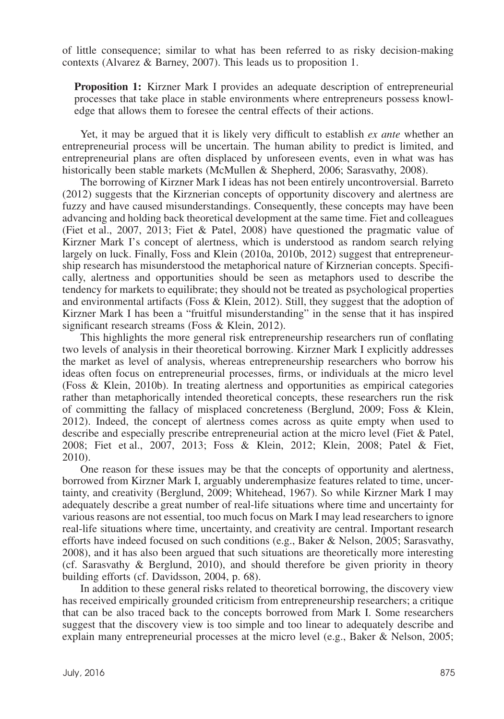of little consequence; similar to what has been referred to as risky decision-making contexts (Alvarez & Barney, 2007). This leads us to proposition 1.

**Proposition 1:** Kirzner Mark I provides an adequate description of entrepreneurial processes that take place in stable environments where entrepreneurs possess knowledge that allows them to foresee the central effects of their actions.

Yet, it may be argued that it is likely very difficult to establish *ex ante* whether an entrepreneurial process will be uncertain. The human ability to predict is limited, and entrepreneurial plans are often displaced by unforeseen events, even in what was has historically been stable markets (McMullen & Shepherd, 2006; Sarasvathy, 2008).

The borrowing of Kirzner Mark I ideas has not been entirely uncontroversial. Barreto (2012) suggests that the Kirznerian concepts of opportunity discovery and alertness are fuzzy and have caused misunderstandings. Consequently, these concepts may have been advancing and holding back theoretical development at the same time. Fiet and colleagues (Fiet et al., 2007, 2013; Fiet & Patel, 2008) have questioned the pragmatic value of Kirzner Mark I's concept of alertness, which is understood as random search relying largely on luck. Finally, Foss and Klein (2010a, 2010b, 2012) suggest that entrepreneurship research has misunderstood the metaphorical nature of Kirznerian concepts. Specifically, alertness and opportunities should be seen as metaphors used to describe the tendency for markets to equilibrate; they should not be treated as psychological properties and environmental artifacts (Foss & Klein, 2012). Still, they suggest that the adoption of Kirzner Mark I has been a "fruitful misunderstanding" in the sense that it has inspired significant research streams (Foss & Klein, 2012).

This highlights the more general risk entrepreneurship researchers run of conflating two levels of analysis in their theoretical borrowing. Kirzner Mark I explicitly addresses the market as level of analysis, whereas entrepreneurship researchers who borrow his ideas often focus on entrepreneurial processes, firms, or individuals at the micro level (Foss & Klein, 2010b). In treating alertness and opportunities as empirical categories rather than metaphorically intended theoretical concepts, these researchers run the risk of committing the fallacy of misplaced concreteness (Berglund, 2009; Foss & Klein, 2012). Indeed, the concept of alertness comes across as quite empty when used to describe and especially prescribe entrepreneurial action at the micro level (Fiet & Patel, 2008; Fiet et al., 2007, 2013; Foss & Klein, 2012; Klein, 2008; Patel & Fiet, 2010).

One reason for these issues may be that the concepts of opportunity and alertness, borrowed from Kirzner Mark I, arguably underemphasize features related to time, uncertainty, and creativity (Berglund, 2009; Whitehead, 1967). So while Kirzner Mark I may adequately describe a great number of real-life situations where time and uncertainty for various reasons are not essential, too much focus on Mark I may lead researchers to ignore real-life situations where time, uncertainty, and creativity are central. Important research efforts have indeed focused on such conditions (e.g., Baker & Nelson, 2005; Sarasvathy, 2008), and it has also been argued that such situations are theoretically more interesting (cf. Sarasvathy & Berglund, 2010), and should therefore be given priority in theory building efforts (cf. Davidsson, 2004, p. 68).

In addition to these general risks related to theoretical borrowing, the discovery view has received empirically grounded criticism from entrepreneurship researchers; a critique that can be also traced back to the concepts borrowed from Mark I. Some researchers suggest that the discovery view is too simple and too linear to adequately describe and explain many entrepreneurial processes at the micro level (e.g., Baker & Nelson, 2005;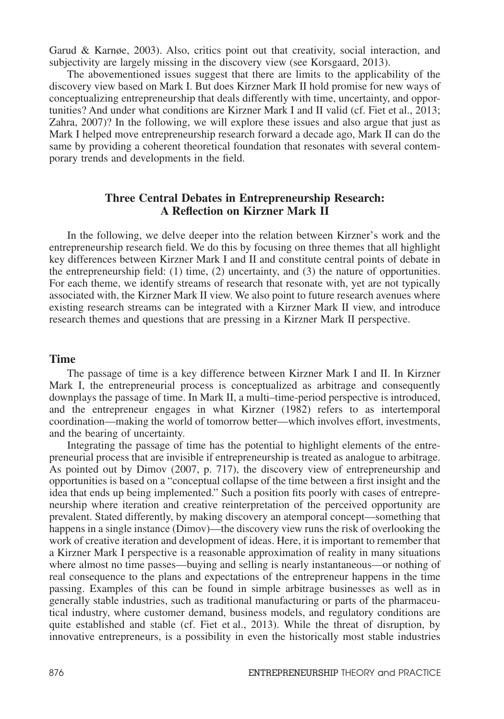Garud & Karnøe, 2003). Also, critics point out that creativity, social interaction, and subjectivity are largely missing in the discovery view (see Korsgaard, 2013).

The abovementioned issues suggest that there are limits to the applicability of the discovery view based on Mark I. But does Kirzner Mark II hold promise for new ways of conceptualizing entrepreneurship that deals differently with time, uncertainty, and opportunities? And under what conditions are Kirzner Mark I and II valid (cf. Fiet et al., 2013; Zahra, 2007)? In the following, we will explore these issues and also argue that just as Mark I helped move entrepreneurship research forward a decade ago, Mark II can do the same by providing a coherent theoretical foundation that resonates with several contemporary trends and developments in the field.

## **Three Central Debates in Entrepreneurship Research: A Reflection on Kirzner Mark II**

In the following, we delve deeper into the relation between Kirzner's work and the entrepreneurship research field. We do this by focusing on three themes that all highlight key differences between Kirzner Mark I and II and constitute central points of debate in the entrepreneurship field: (1) time, (2) uncertainty, and (3) the nature of opportunities. For each theme, we identify streams of research that resonate with, yet are not typically associated with, the Kirzner Mark II view. We also point to future research avenues where existing research streams can be integrated with a Kirzner Mark II view, and introduce research themes and questions that are pressing in a Kirzner Mark II perspective.

#### **Time**

The passage of time is a key difference between Kirzner Mark I and II. In Kirzner Mark I, the entrepreneurial process is conceptualized as arbitrage and consequently downplays the passage of time. In Mark II, a multi–time-period perspective is introduced, and the entrepreneur engages in what Kirzner (1982) refers to as intertemporal coordination—making the world of tomorrow better—which involves effort, investments, and the bearing of uncertainty.

Integrating the passage of time has the potential to highlight elements of the entrepreneurial process that are invisible if entrepreneurship is treated as analogue to arbitrage. As pointed out by Dimov (2007, p. 717), the discovery view of entrepreneurship and opportunities is based on a "conceptual collapse of the time between a first insight and the idea that ends up being implemented." Such a position fits poorly with cases of entrepreneurship where iteration and creative reinterpretation of the perceived opportunity are prevalent. Stated differently, by making discovery an atemporal concept—something that happens in a single instance (Dimov)—the discovery view runs the risk of overlooking the work of creative iteration and development of ideas. Here, it is important to remember that a Kirzner Mark I perspective is a reasonable approximation of reality in many situations where almost no time passes—buying and selling is nearly instantaneous—or nothing of real consequence to the plans and expectations of the entrepreneur happens in the time passing. Examples of this can be found in simple arbitrage businesses as well as in generally stable industries, such as traditional manufacturing or parts of the pharmaceutical industry, where customer demand, business models, and regulatory conditions are quite established and stable (cf. Fiet et al., 2013). While the threat of disruption, by innovative entrepreneurs, is a possibility in even the historically most stable industries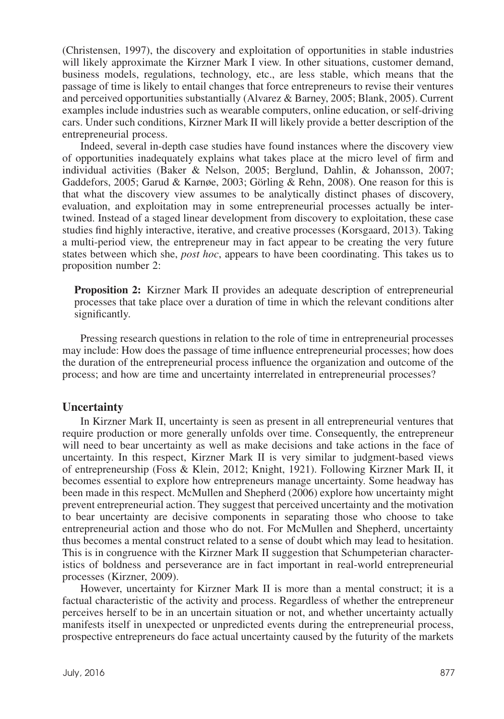(Christensen, 1997), the discovery and exploitation of opportunities in stable industries will likely approximate the Kirzner Mark I view. In other situations, customer demand, business models, regulations, technology, etc., are less stable, which means that the passage of time is likely to entail changes that force entrepreneurs to revise their ventures and perceived opportunities substantially (Alvarez & Barney, 2005; Blank, 2005). Current examples include industries such as wearable computers, online education, or self-driving cars. Under such conditions, Kirzner Mark II will likely provide a better description of the entrepreneurial process.

Indeed, several in-depth case studies have found instances where the discovery view of opportunities inadequately explains what takes place at the micro level of firm and individual activities (Baker & Nelson, 2005; Berglund, Dahlin, & Johansson, 2007; Gaddefors, 2005; Garud & Karnøe, 2003; Görling & Rehn, 2008). One reason for this is that what the discovery view assumes to be analytically distinct phases of discovery, evaluation, and exploitation may in some entrepreneurial processes actually be intertwined. Instead of a staged linear development from discovery to exploitation, these case studies find highly interactive, iterative, and creative processes (Korsgaard, 2013). Taking a multi-period view, the entrepreneur may in fact appear to be creating the very future states between which she, *post hoc*, appears to have been coordinating. This takes us to proposition number 2:

**Proposition 2:** Kirzner Mark II provides an adequate description of entrepreneurial processes that take place over a duration of time in which the relevant conditions alter significantly.

Pressing research questions in relation to the role of time in entrepreneurial processes may include: How does the passage of time influence entrepreneurial processes; how does the duration of the entrepreneurial process influence the organization and outcome of the process; and how are time and uncertainty interrelated in entrepreneurial processes?

#### **Uncertainty**

In Kirzner Mark II, uncertainty is seen as present in all entrepreneurial ventures that require production or more generally unfolds over time. Consequently, the entrepreneur will need to bear uncertainty as well as make decisions and take actions in the face of uncertainty. In this respect, Kirzner Mark II is very similar to judgment-based views of entrepreneurship (Foss & Klein, 2012; Knight, 1921). Following Kirzner Mark II, it becomes essential to explore how entrepreneurs manage uncertainty. Some headway has been made in this respect. McMullen and Shepherd (2006) explore how uncertainty might prevent entrepreneurial action. They suggest that perceived uncertainty and the motivation to bear uncertainty are decisive components in separating those who choose to take entrepreneurial action and those who do not. For McMullen and Shepherd, uncertainty thus becomes a mental construct related to a sense of doubt which may lead to hesitation. This is in congruence with the Kirzner Mark II suggestion that Schumpeterian characteristics of boldness and perseverance are in fact important in real-world entrepreneurial processes (Kirzner, 2009).

However, uncertainty for Kirzner Mark II is more than a mental construct; it is a factual characteristic of the activity and process. Regardless of whether the entrepreneur perceives herself to be in an uncertain situation or not, and whether uncertainty actually manifests itself in unexpected or unpredicted events during the entrepreneurial process, prospective entrepreneurs do face actual uncertainty caused by the futurity of the markets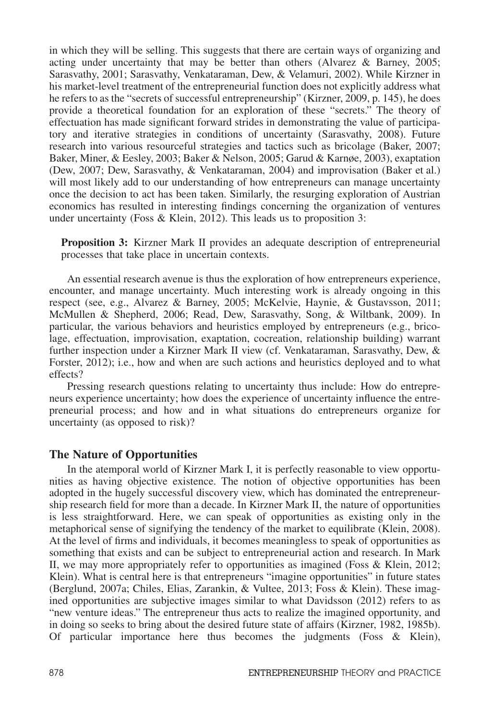in which they will be selling. This suggests that there are certain ways of organizing and acting under uncertainty that may be better than others (Alvarez & Barney, 2005; Sarasvathy, 2001; Sarasvathy, Venkataraman, Dew, & Velamuri, 2002). While Kirzner in his market-level treatment of the entrepreneurial function does not explicitly address what he refers to as the "secrets of successful entrepreneurship" (Kirzner, 2009, p. 145), he does provide a theoretical foundation for an exploration of these "secrets." The theory of effectuation has made significant forward strides in demonstrating the value of participatory and iterative strategies in conditions of uncertainty (Sarasvathy, 2008). Future research into various resourceful strategies and tactics such as bricolage (Baker, 2007; Baker, Miner, & Eesley, 2003; Baker & Nelson, 2005; Garud & Karnøe, 2003), exaptation (Dew, 2007; Dew, Sarasvathy, & Venkataraman, 2004) and improvisation (Baker et al.) will most likely add to our understanding of how entrepreneurs can manage uncertainty once the decision to act has been taken. Similarly, the resurging exploration of Austrian economics has resulted in interesting findings concerning the organization of ventures under uncertainty (Foss & Klein, 2012). This leads us to proposition 3:

**Proposition 3:** Kirzner Mark II provides an adequate description of entrepreneurial processes that take place in uncertain contexts.

An essential research avenue is thus the exploration of how entrepreneurs experience, encounter, and manage uncertainty. Much interesting work is already ongoing in this respect (see, e.g., Alvarez & Barney, 2005; McKelvie, Haynie, & Gustavsson, 2011; McMullen & Shepherd, 2006; Read, Dew, Sarasvathy, Song, & Wiltbank, 2009). In particular, the various behaviors and heuristics employed by entrepreneurs (e.g., bricolage, effectuation, improvisation, exaptation, cocreation, relationship building) warrant further inspection under a Kirzner Mark II view (cf. Venkataraman, Sarasvathy, Dew, & Forster, 2012); i.e., how and when are such actions and heuristics deployed and to what effects?

Pressing research questions relating to uncertainty thus include: How do entrepreneurs experience uncertainty; how does the experience of uncertainty influence the entrepreneurial process; and how and in what situations do entrepreneurs organize for uncertainty (as opposed to risk)?

## **The Nature of Opportunities**

In the atemporal world of Kirzner Mark I, it is perfectly reasonable to view opportunities as having objective existence. The notion of objective opportunities has been adopted in the hugely successful discovery view, which has dominated the entrepreneurship research field for more than a decade. In Kirzner Mark II, the nature of opportunities is less straightforward. Here, we can speak of opportunities as existing only in the metaphorical sense of signifying the tendency of the market to equilibrate (Klein, 2008). At the level of firms and individuals, it becomes meaningless to speak of opportunities as something that exists and can be subject to entrepreneurial action and research. In Mark II, we may more appropriately refer to opportunities as imagined (Foss & Klein, 2012; Klein). What is central here is that entrepreneurs "imagine opportunities" in future states (Berglund, 2007a; Chiles, Elias, Zarankin, & Vultee, 2013; Foss & Klein). These imagined opportunities are subjective images similar to what Davidsson (2012) refers to as "new venture ideas." The entrepreneur thus acts to realize the imagined opportunity, and in doing so seeks to bring about the desired future state of affairs (Kirzner, 1982, 1985b). Of particular importance here thus becomes the judgments (Foss & Klein),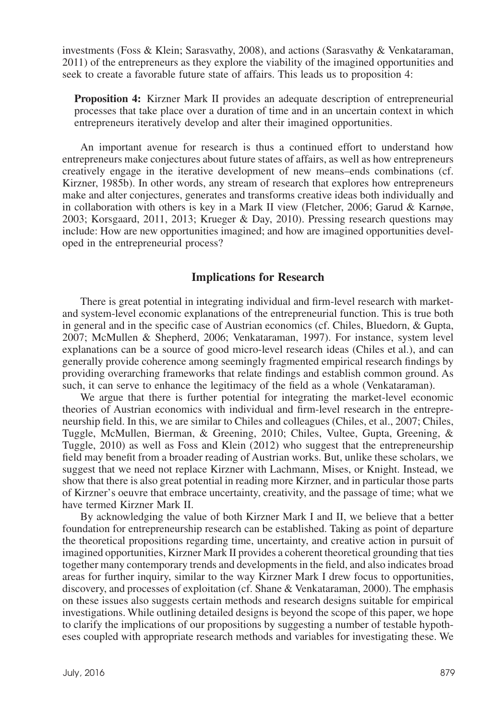investments (Foss & Klein; Sarasvathy, 2008), and actions (Sarasvathy & Venkataraman, 2011) of the entrepreneurs as they explore the viability of the imagined opportunities and seek to create a favorable future state of affairs. This leads us to proposition 4:

**Proposition 4:** Kirzner Mark II provides an adequate description of entrepreneurial processes that take place over a duration of time and in an uncertain context in which entrepreneurs iteratively develop and alter their imagined opportunities.

An important avenue for research is thus a continued effort to understand how entrepreneurs make conjectures about future states of affairs, as well as how entrepreneurs creatively engage in the iterative development of new means–ends combinations (cf. Kirzner, 1985b). In other words, any stream of research that explores how entrepreneurs make and alter conjectures, generates and transforms creative ideas both individually and in collaboration with others is key in a Mark II view (Fletcher, 2006; Garud & Karnøe, 2003; Korsgaard, 2011, 2013; Krueger & Day, 2010). Pressing research questions may include: How are new opportunities imagined; and how are imagined opportunities developed in the entrepreneurial process?

# **Implications for Research**

There is great potential in integrating individual and firm-level research with marketand system-level economic explanations of the entrepreneurial function. This is true both in general and in the specific case of Austrian economics (cf. Chiles, Bluedorn, & Gupta, 2007; McMullen & Shepherd, 2006; Venkataraman, 1997). For instance, system level explanations can be a source of good micro-level research ideas (Chiles et al.), and can generally provide coherence among seemingly fragmented empirical research findings by providing overarching frameworks that relate findings and establish common ground. As such, it can serve to enhance the legitimacy of the field as a whole (Venkataraman).

We argue that there is further potential for integrating the market-level economic theories of Austrian economics with individual and firm-level research in the entrepreneurship field. In this, we are similar to Chiles and colleagues (Chiles, et al., 2007; Chiles, Tuggle, McMullen, Bierman, & Greening, 2010; Chiles, Vultee, Gupta, Greening, & Tuggle, 2010) as well as Foss and Klein (2012) who suggest that the entrepreneurship field may benefit from a broader reading of Austrian works. But, unlike these scholars, we suggest that we need not replace Kirzner with Lachmann, Mises, or Knight. Instead, we show that there is also great potential in reading more Kirzner, and in particular those parts of Kirzner's oeuvre that embrace uncertainty, creativity, and the passage of time; what we have termed Kirzner Mark II.

By acknowledging the value of both Kirzner Mark I and II, we believe that a better foundation for entrepreneurship research can be established. Taking as point of departure the theoretical propositions regarding time, uncertainty, and creative action in pursuit of imagined opportunities, Kirzner Mark II provides a coherent theoretical grounding that ties together many contemporary trends and developments in the field, and also indicates broad areas for further inquiry, similar to the way Kirzner Mark I drew focus to opportunities, discovery, and processes of exploitation (cf. Shane & Venkataraman, 2000). The emphasis on these issues also suggests certain methods and research designs suitable for empirical investigations. While outlining detailed designs is beyond the scope of this paper, we hope to clarify the implications of our propositions by suggesting a number of testable hypotheses coupled with appropriate research methods and variables for investigating these. We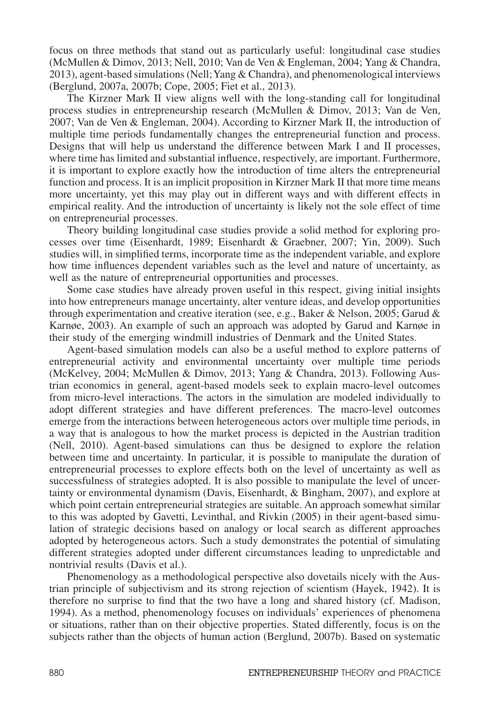focus on three methods that stand out as particularly useful: longitudinal case studies (McMullen & Dimov, 2013; Nell, 2010; Van de Ven & Engleman, 2004; Yang & Chandra, 2013), agent-based simulations (Nell;Yang & Chandra), and phenomenological interviews (Berglund, 2007a, 2007b; Cope, 2005; Fiet et al., 2013).

The Kirzner Mark II view aligns well with the long-standing call for longitudinal process studies in entrepreneurship research (McMullen & Dimov, 2013; Van de Ven, 2007; Van de Ven & Engleman, 2004). According to Kirzner Mark II, the introduction of multiple time periods fundamentally changes the entrepreneurial function and process. Designs that will help us understand the difference between Mark I and II processes, where time has limited and substantial influence, respectively, are important. Furthermore, it is important to explore exactly how the introduction of time alters the entrepreneurial function and process. It is an implicit proposition in Kirzner Mark II that more time means more uncertainty, yet this may play out in different ways and with different effects in empirical reality. And the introduction of uncertainty is likely not the sole effect of time on entrepreneurial processes.

Theory building longitudinal case studies provide a solid method for exploring processes over time (Eisenhardt, 1989; Eisenhardt & Graebner, 2007; Yin, 2009). Such studies will, in simplified terms, incorporate time as the independent variable, and explore how time influences dependent variables such as the level and nature of uncertainty, as well as the nature of entrepreneurial opportunities and processes.

Some case studies have already proven useful in this respect, giving initial insights into how entrepreneurs manage uncertainty, alter venture ideas, and develop opportunities through experimentation and creative iteration (see, e.g., Baker & Nelson, 2005; Garud & Karnøe, 2003). An example of such an approach was adopted by Garud and Karnøe in their study of the emerging windmill industries of Denmark and the United States.

Agent-based simulation models can also be a useful method to explore patterns of entrepreneurial activity and environmental uncertainty over multiple time periods (McKelvey, 2004; McMullen & Dimov, 2013; Yang & Chandra, 2013). Following Austrian economics in general, agent-based models seek to explain macro-level outcomes from micro-level interactions. The actors in the simulation are modeled individually to adopt different strategies and have different preferences. The macro-level outcomes emerge from the interactions between heterogeneous actors over multiple time periods, in a way that is analogous to how the market process is depicted in the Austrian tradition (Nell, 2010). Agent-based simulations can thus be designed to explore the relation between time and uncertainty. In particular, it is possible to manipulate the duration of entrepreneurial processes to explore effects both on the level of uncertainty as well as successfulness of strategies adopted. It is also possible to manipulate the level of uncertainty or environmental dynamism (Davis, Eisenhardt, & Bingham, 2007), and explore at which point certain entrepreneurial strategies are suitable. An approach somewhat similar to this was adopted by Gavetti, Levinthal, and Rivkin (2005) in their agent-based simulation of strategic decisions based on analogy or local search as different approaches adopted by heterogeneous actors. Such a study demonstrates the potential of simulating different strategies adopted under different circumstances leading to unpredictable and nontrivial results (Davis et al.).

Phenomenology as a methodological perspective also dovetails nicely with the Austrian principle of subjectivism and its strong rejection of scientism (Hayek, 1942). It is therefore no surprise to find that the two have a long and shared history (cf. Madison, 1994). As a method, phenomenology focuses on individuals' experiences of phenomena or situations, rather than on their objective properties. Stated differently, focus is on the subjects rather than the objects of human action (Berglund, 2007b). Based on systematic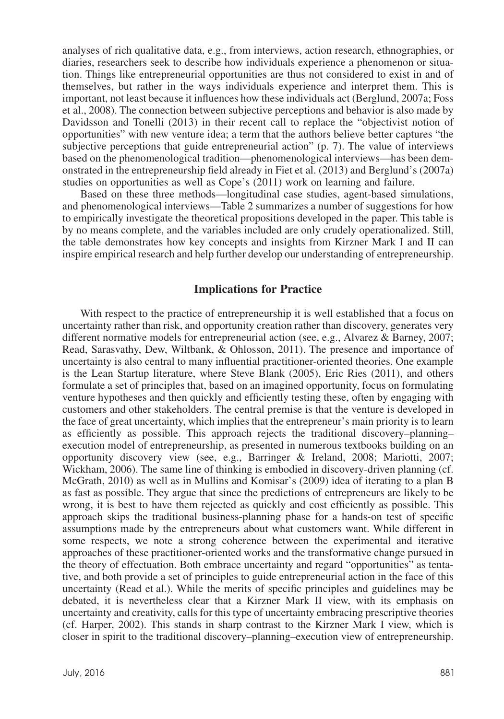analyses of rich qualitative data, e.g., from interviews, action research, ethnographies, or diaries, researchers seek to describe how individuals experience a phenomenon or situation. Things like entrepreneurial opportunities are thus not considered to exist in and of themselves, but rather in the ways individuals experience and interpret them. This is important, not least because it influences how these individuals act (Berglund, 2007a; Foss et al., 2008). The connection between subjective perceptions and behavior is also made by Davidsson and Tonelli (2013) in their recent call to replace the "objectivist notion of opportunities" with new venture idea; a term that the authors believe better captures "the subjective perceptions that guide entrepreneurial action" (p. 7). The value of interviews based on the phenomenological tradition—phenomenological interviews—has been demonstrated in the entrepreneurship field already in Fiet et al. (2013) and Berglund's (2007a) studies on opportunities as well as Cope's (2011) work on learning and failure.

Based on these three methods—longitudinal case studies, agent-based simulations, and phenomenological interviews—Table 2 summarizes a number of suggestions for how to empirically investigate the theoretical propositions developed in the paper. This table is by no means complete, and the variables included are only crudely operationalized. Still, the table demonstrates how key concepts and insights from Kirzner Mark I and II can inspire empirical research and help further develop our understanding of entrepreneurship.

#### **Implications for Practice**

With respect to the practice of entrepreneurship it is well established that a focus on uncertainty rather than risk, and opportunity creation rather than discovery, generates very different normative models for entrepreneurial action (see, e.g., Alvarez & Barney, 2007; Read, Sarasvathy, Dew, Wiltbank, & Ohlosson, 2011). The presence and importance of uncertainty is also central to many influential practitioner-oriented theories. One example is the Lean Startup literature, where Steve Blank (2005), Eric Ries (2011), and others formulate a set of principles that, based on an imagined opportunity, focus on formulating venture hypotheses and then quickly and efficiently testing these, often by engaging with customers and other stakeholders. The central premise is that the venture is developed in the face of great uncertainty, which implies that the entrepreneur's main priority is to learn as efficiently as possible. This approach rejects the traditional discovery–planning– execution model of entrepreneurship, as presented in numerous textbooks building on an opportunity discovery view (see, e.g., Barringer & Ireland, 2008; Mariotti, 2007; Wickham, 2006). The same line of thinking is embodied in discovery-driven planning (cf. McGrath, 2010) as well as in Mullins and Komisar's (2009) idea of iterating to a plan B as fast as possible. They argue that since the predictions of entrepreneurs are likely to be wrong, it is best to have them rejected as quickly and cost efficiently as possible. This approach skips the traditional business-planning phase for a hands-on test of specific assumptions made by the entrepreneurs about what customers want. While different in some respects, we note a strong coherence between the experimental and iterative approaches of these practitioner-oriented works and the transformative change pursued in the theory of effectuation. Both embrace uncertainty and regard "opportunities" as tentative, and both provide a set of principles to guide entrepreneurial action in the face of this uncertainty (Read et al.). While the merits of specific principles and guidelines may be debated, it is nevertheless clear that a Kirzner Mark II view, with its emphasis on uncertainty and creativity, calls for this type of uncertainty embracing prescriptive theories (cf. Harper, 2002). This stands in sharp contrast to the Kirzner Mark I view, which is closer in spirit to the traditional discovery–planning–execution view of entrepreneurship.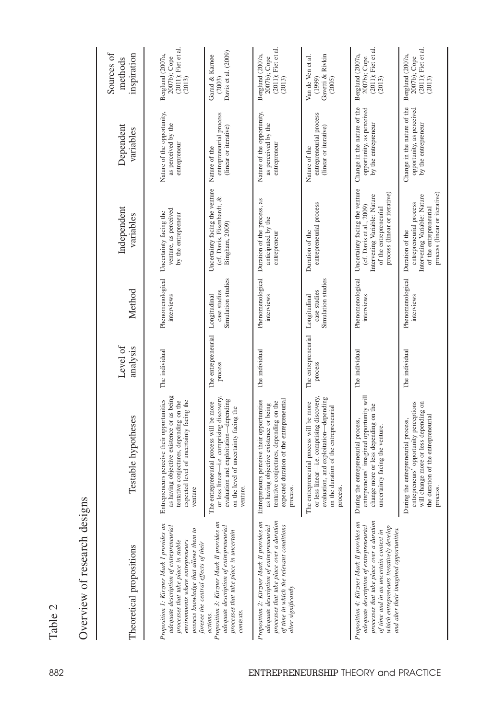| r<br>Ξ<br>э |  |
|-------------|--|
| Ξ           |  |
|             |  |

| Š       |
|---------|
| とくてくらえん |
| ć       |
| i       |
|         |

| Theoretical propositions                                                                                                                                                                                                                                           | Testable hypotheses                                                                                                                                                                       | Level of<br>analysis           | Method                                             | Independent<br>variables                                                                                                                              | Dependent<br>variables                                                          | Sources of<br>inspiration<br>methods                                 |
|--------------------------------------------------------------------------------------------------------------------------------------------------------------------------------------------------------------------------------------------------------------------|-------------------------------------------------------------------------------------------------------------------------------------------------------------------------------------------|--------------------------------|----------------------------------------------------|-------------------------------------------------------------------------------------------------------------------------------------------------------|---------------------------------------------------------------------------------|----------------------------------------------------------------------|
| Proposition 1: Kirzner Mark I provides an<br>adequate description of entrepreneurial<br>possess knowledge that allows them to<br>processes that take place in stable<br>environments where entrepreneurs<br>foresee the central effects of their                   | as having objective existence or as being<br>Entrepreneurs perceive their opportunities<br>expected level of uncertainty facing the<br>tentative conjectures, depending on the<br>venture | The individual                 | Phenomenological<br>interviews                     | venture, as perceived<br>Uncertainty facing the<br>by the entrepreneur                                                                                | Nature of the opportunity,<br>as perceived by the<br>entrepreneur               | (2011); Fiet et al.<br>Berglund (2007a,<br>2007b); Cope<br>(2013)    |
| Proposition 3: Kirzner Mark II provides an<br>adequate description of entrepreneurial<br>processes that take place in uncertain                                                                                                                                    | or less linear-i.e. comprising discovery<br>evaluation and exploitation-depending<br>The entrepreneurial process will be more<br>on the level of uncertainty facing the<br>venture.       | The entrepreneurial<br>process | Simulation studies<br>case studies<br>Longitudinal | Uncertainty facing the venture<br>(cf. Davis, Eisenhardt, &<br>Bingham, 2009)                                                                         | entrepreneurial process<br>(linear or iterative)<br>Nature of the               | Davis et al. (2009)<br>Garud & Karnøe<br>(2003)                      |
| processes that take place over a duration<br>Proposition 2: Kirzner Mark II provides an<br>adequate description of entrepreneurial<br>of time in which the relevant conditions<br>alter significantly                                                              | expected duration of the entrepreneurial<br>Entrepreneurs perceive their opportunities<br>tentative conjectures, depending on the<br>as having objective existence or being<br>process.   | The individual                 | Phenomenological<br>interviews                     | Duration of the process, as<br>anticipated by the<br>entrepreneur                                                                                     | Nature of the opportunity,<br>as perceived by the<br>entrepreneur               | $(2011)$ ; Fiet et al.<br>Berglund (2007a,<br>2007b); Cope<br>(2013) |
|                                                                                                                                                                                                                                                                    | or less linear-i.e. comprising discovery,<br>evaluation, and exploitation-depending<br>The entrepreneurial process will be more<br>on the duration of the entrepreneurial<br>process.     | The entrepreneurial<br>process | Simulation studies<br>case studies<br>Longitudinal | entrepreneurial process<br>Duration of the                                                                                                            | entrepreneurial process<br>(linear or iterative)<br>Nature of the               | Gavetti & Rivkin<br>Van de Ven et al.<br>(2005)<br>(1999)            |
| processes that take place over a duration<br>Proposition 4: Kirzner Mark II provides an<br>adequate description of entrepreneurial<br>which entrepreneurs iteratively develop<br>and alter their imagined opportunities.<br>of time and in an uncertain context in | entrepreneurs' imagined opportunity will<br>change more or less depending on the<br>During the entrepreneurial process,<br>uncertainty facing the venture.                                | The individual                 | Phenomenological<br>interviews                     | Uncertainty facing the venture<br>process (linear or iterative)<br>Intervening Variable: Nature<br>(cf. Davis et al., 2009)<br>of the entrepreneurial | Change in the nature of the<br>opportunity, as perceived<br>by the entrepreneur | (2011); Fiet et al.<br>Berglund (2007a,<br>2007b); Соре<br>(2013)    |
|                                                                                                                                                                                                                                                                    | will change more or less depending on<br>entrepreneurs' opportunity perceptions<br>the duration of the entrepreneurial<br>During the entrepreneurial process,<br>process.                 | The individual                 | Phenomenological<br>interviews                     | process (linear or iterative)<br>Intervening Variable: Nature<br>entrepreneurial process<br>of the entrepreneurial<br>Duration of the                 | Change in the nature of the<br>opportunity, as perceived<br>by the entrepreneur | (2011); Fiet et al.<br>(2013)<br>Berglund (2007a,<br>2007b); Cope    |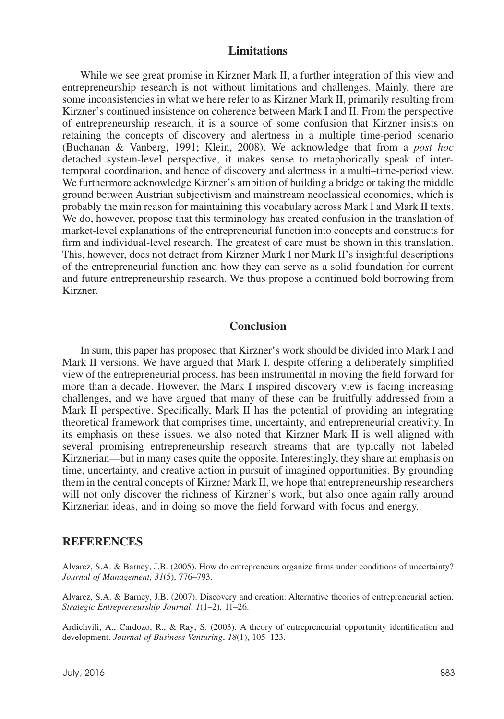#### **Limitations**

While we see great promise in Kirzner Mark II, a further integration of this view and entrepreneurship research is not without limitations and challenges. Mainly, there are some inconsistencies in what we here refer to as Kirzner Mark II, primarily resulting from Kirzner's continued insistence on coherence between Mark I and II. From the perspective of entrepreneurship research, it is a source of some confusion that Kirzner insists on retaining the concepts of discovery and alertness in a multiple time-period scenario (Buchanan & Vanberg, 1991; Klein, 2008). We acknowledge that from a *post hoc* detached system-level perspective, it makes sense to metaphorically speak of intertemporal coordination, and hence of discovery and alertness in a multi–time-period view. We furthermore acknowledge Kirzner's ambition of building a bridge or taking the middle ground between Austrian subjectivism and mainstream neoclassical economics, which is probably the main reason for maintaining this vocabulary across Mark I and Mark II texts. We do, however, propose that this terminology has created confusion in the translation of market-level explanations of the entrepreneurial function into concepts and constructs for firm and individual-level research. The greatest of care must be shown in this translation. This, however, does not detract from Kirzner Mark I nor Mark II's insightful descriptions of the entrepreneurial function and how they can serve as a solid foundation for current and future entrepreneurship research. We thus propose a continued bold borrowing from Kirzner.

#### **Conclusion**

In sum, this paper has proposed that Kirzner's work should be divided into Mark I and Mark II versions. We have argued that Mark I, despite offering a deliberately simplified view of the entrepreneurial process, has been instrumental in moving the field forward for more than a decade. However, the Mark I inspired discovery view is facing increasing challenges, and we have argued that many of these can be fruitfully addressed from a Mark II perspective. Specifically, Mark II has the potential of providing an integrating theoretical framework that comprises time, uncertainty, and entrepreneurial creativity. In its emphasis on these issues, we also noted that Kirzner Mark II is well aligned with several promising entrepreneurship research streams that are typically not labeled Kirznerian—but in many cases quite the opposite. Interestingly, they share an emphasis on time, uncertainty, and creative action in pursuit of imagined opportunities. By grounding them in the central concepts of Kirzner Mark II, we hope that entrepreneurship researchers will not only discover the richness of Kirzner's work, but also once again rally around Kirznerian ideas, and in doing so move the field forward with focus and energy.

#### **REFERENCES**

Alvarez, S.A. & Barney, J.B. (2005). How do entrepreneurs organize firms under conditions of uncertainty? *Journal of Management*, *31*(5), 776–793.

Alvarez, S.A. & Barney, J.B. (2007). Discovery and creation: Alternative theories of entrepreneurial action. *Strategic Entrepreneurship Journal*, *1*(1–2), 11–26.

Ardichvili, A., Cardozo, R., & Ray, S. (2003). A theory of entrepreneurial opportunity identification and development. *Journal of Business Venturing*, *18*(1), 105–123.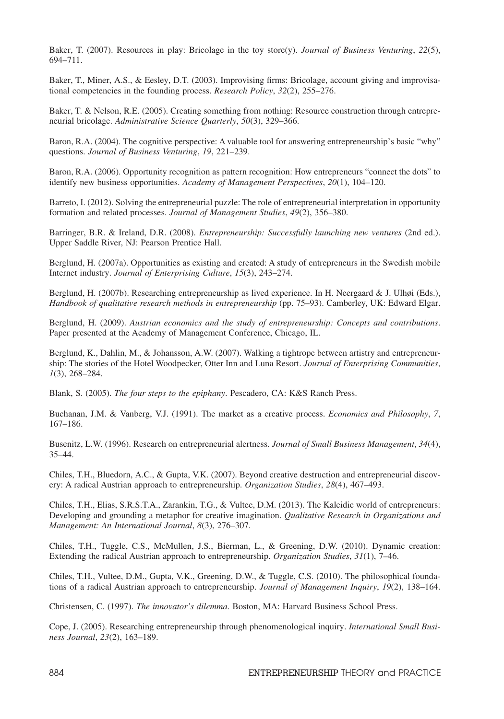Baker, T. (2007). Resources in play: Bricolage in the toy store(y). *Journal of Business Venturing*, *22*(5), 694–711.

Baker, T., Miner, A.S., & Eesley, D.T. (2003). Improvising firms: Bricolage, account giving and improvisational competencies in the founding process. *Research Policy*, *32*(2), 255–276.

Baker, T. & Nelson, R.E. (2005). Creating something from nothing: Resource construction through entrepreneurial bricolage. *Administrative Science Quarterly*, *50*(3), 329–366.

Baron, R.A. (2004). The cognitive perspective: A valuable tool for answering entrepreneurship's basic "why" questions. *Journal of Business Venturing*, *19*, 221–239.

Baron, R.A. (2006). Opportunity recognition as pattern recognition: How entrepreneurs "connect the dots" to identify new business opportunities. *Academy of Management Perspectives*, *20*(1), 104–120.

Barreto, I. (2012). Solving the entrepreneurial puzzle: The role of entrepreneurial interpretation in opportunity formation and related processes. *Journal of Management Studies*, *49*(2), 356–380.

Barringer, B.R. & Ireland, D.R. (2008). *Entrepreneurship: Successfully launching new ventures* (2nd ed.). Upper Saddle River, NJ: Pearson Prentice Hall.

Berglund, H. (2007a). Opportunities as existing and created: A study of entrepreneurs in the Swedish mobile Internet industry. *Journal of Enterprising Culture*, *15*(3), 243–274.

Berglund, H. (2007b). Researching entrepreneurship as lived experience. In H. Neergaard & J. Ulhøi (Eds.), *Handbook of qualitative research methods in entrepreneurship* (pp. 75–93). Camberley, UK: Edward Elgar.

Berglund, H. (2009). *Austrian economics and the study of entrepreneurship: Concepts and contributions*. Paper presented at the Academy of Management Conference, Chicago, IL.

Berglund, K., Dahlin, M., & Johansson, A.W. (2007). Walking a tightrope between artistry and entrepreneurship: The stories of the Hotel Woodpecker, Otter Inn and Luna Resort. *Journal of Enterprising Communities*, *1*(3), 268–284.

Blank, S. (2005). *The four steps to the epiphany*. Pescadero, CA: K&S Ranch Press.

Buchanan, J.M. & Vanberg, V.J. (1991). The market as a creative process. *Economics and Philosophy*, *7*, 167–186.

Busenitz, L.W. (1996). Research on entrepreneurial alertness. *Journal of Small Business Management*, *34*(4), 35–44.

Chiles, T.H., Bluedorn, A.C., & Gupta, V.K. (2007). Beyond creative destruction and entrepreneurial discovery: A radical Austrian approach to entrepreneurship. *Organization Studies*, *28*(4), 467–493.

Chiles, T.H., Elias, S.R.S.T.A., Zarankin, T.G., & Vultee, D.M. (2013). The Kaleidic world of entrepreneurs: Developing and grounding a metaphor for creative imagination. *Qualitative Research in Organizations and Management: An International Journal*, *8*(3), 276–307.

Chiles, T.H., Tuggle, C.S., McMullen, J.S., Bierman, L., & Greening, D.W. (2010). Dynamic creation: Extending the radical Austrian approach to entrepreneurship. *Organization Studies*, *31*(1), 7–46.

Chiles, T.H., Vultee, D.M., Gupta, V.K., Greening, D.W., & Tuggle, C.S. (2010). The philosophical foundations of a radical Austrian approach to entrepreneurship. *Journal of Management Inquiry*, *19*(2), 138–164.

Christensen, C. (1997). *The innovator's dilemma*. Boston, MA: Harvard Business School Press.

Cope, J. (2005). Researching entrepreneurship through phenomenological inquiry. *International Small Business Journal*, *23*(2), 163–189.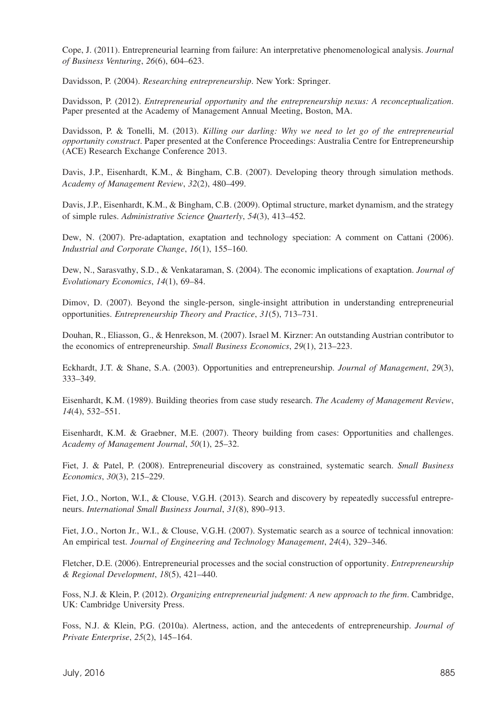Cope, J. (2011). Entrepreneurial learning from failure: An interpretative phenomenological analysis. *Journal of Business Venturing*, *26*(6), 604–623.

Davidsson, P. (2004). *Researching entrepreneurship*. New York: Springer.

Davidsson, P. (2012). *Entrepreneurial opportunity and the entrepreneurship nexus: A reconceptualization*. Paper presented at the Academy of Management Annual Meeting, Boston, MA.

Davidsson, P. & Tonelli, M. (2013). *Killing our darling: Why we need to let go of the entrepreneurial opportunity construct*. Paper presented at the Conference Proceedings: Australia Centre for Entrepreneurship (ACE) Research Exchange Conference 2013.

Davis, J.P., Eisenhardt, K.M., & Bingham, C.B. (2007). Developing theory through simulation methods. *Academy of Management Review*, *32*(2), 480–499.

Davis, J.P., Eisenhardt, K.M., & Bingham, C.B. (2009). Optimal structure, market dynamism, and the strategy of simple rules. *Administrative Science Quarterly*, *54*(3), 413–452.

Dew, N. (2007). Pre-adaptation, exaptation and technology speciation: A comment on Cattani (2006). *Industrial and Corporate Change*, *16*(1), 155–160.

Dew, N., Sarasvathy, S.D., & Venkataraman, S. (2004). The economic implications of exaptation. *Journal of Evolutionary Economics*, *14*(1), 69–84.

Dimov, D. (2007). Beyond the single-person, single-insight attribution in understanding entrepreneurial opportunities. *Entrepreneurship Theory and Practice*, *31*(5), 713–731.

Douhan, R., Eliasson, G., & Henrekson, M. (2007). Israel M. Kirzner: An outstanding Austrian contributor to the economics of entrepreneurship. *Small Business Economics*, *29*(1), 213–223.

Eckhardt, J.T. & Shane, S.A. (2003). Opportunities and entrepreneurship. *Journal of Management*, *29*(3), 333–349.

Eisenhardt, K.M. (1989). Building theories from case study research. *The Academy of Management Review*, *14*(4), 532–551.

Eisenhardt, K.M. & Graebner, M.E. (2007). Theory building from cases: Opportunities and challenges. *Academy of Management Journal*, *50*(1), 25–32.

Fiet, J. & Patel, P. (2008). Entrepreneurial discovery as constrained, systematic search. *Small Business Economics*, *30*(3), 215–229.

Fiet, J.O., Norton, W.I., & Clouse, V.G.H. (2013). Search and discovery by repeatedly successful entrepreneurs. *International Small Business Journal*, *31*(8), 890–913.

Fiet, J.O., Norton Jr., W.I., & Clouse, V.G.H. (2007). Systematic search as a source of technical innovation: An empirical test. *Journal of Engineering and Technology Management*, *24*(4), 329–346.

Fletcher, D.E. (2006). Entrepreneurial processes and the social construction of opportunity. *Entrepreneurship & Regional Development*, *18*(5), 421–440.

Foss, N.J. & Klein, P. (2012). *Organizing entrepreneurial judgment: A new approach to the firm*. Cambridge, UK: Cambridge University Press.

Foss, N.J. & Klein, P.G. (2010a). Alertness, action, and the antecedents of entrepreneurship. *Journal of Private Enterprise*, *25*(2), 145–164.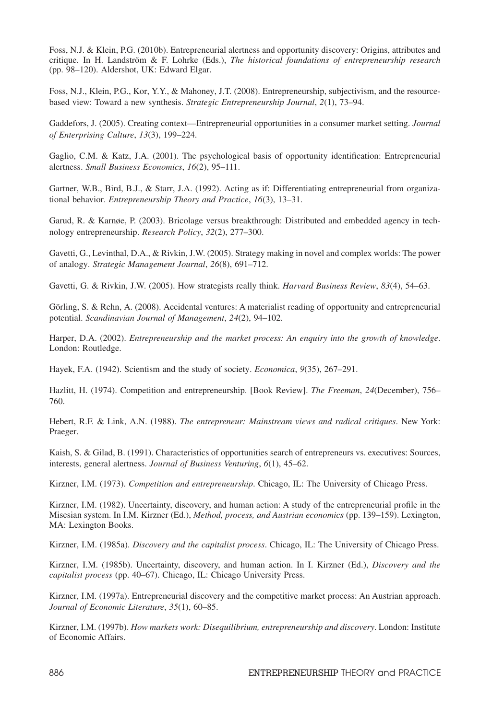Foss, N.J. & Klein, P.G. (2010b). Entrepreneurial alertness and opportunity discovery: Origins, attributes and critique. In H. Landström & F. Lohrke (Eds.), *The historical foundations of entrepreneurship research* (pp. 98–120). Aldershot, UK: Edward Elgar.

Foss, N.J., Klein, P.G., Kor, Y.Y., & Mahoney, J.T. (2008). Entrepreneurship, subjectivism, and the resourcebased view: Toward a new synthesis. *Strategic Entrepreneurship Journal*, *2*(1), 73–94.

Gaddefors, J. (2005). Creating context—Entrepreneurial opportunities in a consumer market setting. *Journal of Enterprising Culture*, *13*(3), 199–224.

Gaglio, C.M. & Katz, J.A. (2001). The psychological basis of opportunity identification: Entrepreneurial alertness. *Small Business Economics*, *16*(2), 95–111.

Gartner, W.B., Bird, B.J., & Starr, J.A. (1992). Acting as if: Differentiating entrepreneurial from organizational behavior. *Entrepreneurship Theory and Practice*, *16*(3), 13–31.

Garud, R. & Karnøe, P. (2003). Bricolage versus breakthrough: Distributed and embedded agency in technology entrepreneurship. *Research Policy*, *32*(2), 277–300.

Gavetti, G., Levinthal, D.A., & Rivkin, J.W. (2005). Strategy making in novel and complex worlds: The power of analogy. *Strategic Management Journal*, *26*(8), 691–712.

Gavetti, G. & Rivkin, J.W. (2005). How strategists really think. *Harvard Business Review*, *83*(4), 54–63.

Görling, S. & Rehn, A. (2008). Accidental ventures: A materialist reading of opportunity and entrepreneurial potential. *Scandinavian Journal of Management*, *24*(2), 94–102.

Harper, D.A. (2002). *Entrepreneurship and the market process: An enquiry into the growth of knowledge*. London: Routledge.

Hayek, F.A. (1942). Scientism and the study of society. *Economica*, *9*(35), 267–291.

Hazlitt, H. (1974). Competition and entrepreneurship. [Book Review]. *The Freeman*, *24*(December), 756– 760.

Hebert, R.F. & Link, A.N. (1988). *The entrepreneur: Mainstream views and radical critiques*. New York: Praeger.

Kaish, S. & Gilad, B. (1991). Characteristics of opportunities search of entrepreneurs vs. executives: Sources, interests, general alertness. *Journal of Business Venturing*, *6*(1), 45–62.

Kirzner, I.M. (1973). *Competition and entrepreneurship*. Chicago, IL: The University of Chicago Press.

Kirzner, I.M. (1982). Uncertainty, discovery, and human action: A study of the entrepreneurial profile in the Misesian system. In I.M. Kirzner (Ed.), *Method, process, and Austrian economics* (pp. 139–159). Lexington, MA: Lexington Books.

Kirzner, I.M. (1985a). *Discovery and the capitalist process*. Chicago, IL: The University of Chicago Press.

Kirzner, I.M. (1985b). Uncertainty, discovery, and human action. In I. Kirzner (Ed.), *Discovery and the capitalist process* (pp. 40–67). Chicago, IL: Chicago University Press.

Kirzner, I.M. (1997a). Entrepreneurial discovery and the competitive market process: An Austrian approach. *Journal of Economic Literature*, *35*(1), 60–85.

Kirzner, I.M. (1997b). *How markets work: Disequilibrium, entrepreneurship and discovery*. London: Institute of Economic Affairs.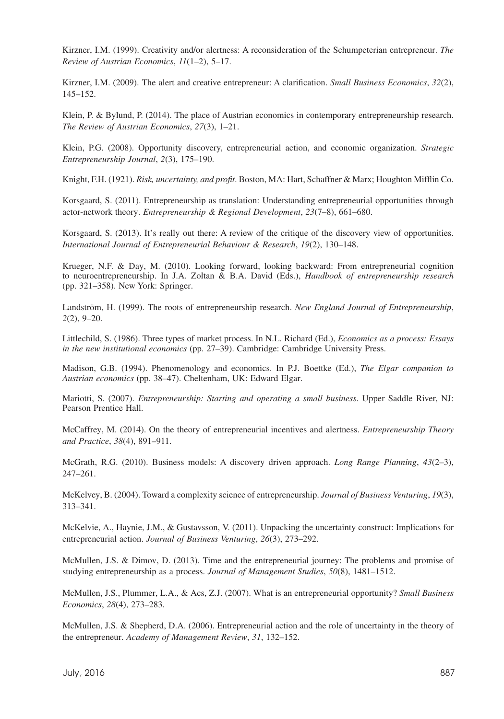Kirzner, I.M. (1999). Creativity and/or alertness: A reconsideration of the Schumpeterian entrepreneur. *The Review of Austrian Economics*, *11*(1–2), 5–17.

Kirzner, I.M. (2009). The alert and creative entrepreneur: A clarification. *Small Business Economics*, *32*(2), 145–152.

Klein, P. & Bylund, P. (2014). The place of Austrian economics in contemporary entrepreneurship research. *The Review of Austrian Economics*, *27*(3), 1–21.

Klein, P.G. (2008). Opportunity discovery, entrepreneurial action, and economic organization. *Strategic Entrepreneurship Journal*, *2*(3), 175–190.

Knight, F.H. (1921). *Risk, uncertainty, and profit*. Boston, MA: Hart, Schaffner & Marx; Houghton Mifflin Co.

Korsgaard, S. (2011). Entrepreneurship as translation: Understanding entrepreneurial opportunities through actor-network theory. *Entrepreneurship & Regional Development*, *23*(7–8), 661–680.

Korsgaard, S. (2013). It's really out there: A review of the critique of the discovery view of opportunities. *International Journal of Entrepreneurial Behaviour & Research*, *19*(2), 130–148.

Krueger, N.F. & Day, M. (2010). Looking forward, looking backward: From entrepreneurial cognition to neuroentrepreneurship. In J.A. Zoltan & B.A. David (Eds.), *Handbook of entrepreneurship research* (pp. 321–358). New York: Springer.

Landström, H. (1999). The roots of entrepreneurship research. *New England Journal of Entrepreneurship*, *2*(2), 9–20.

Littlechild, S. (1986). Three types of market process. In N.L. Richard (Ed.), *Economics as a process: Essays in the new institutional economics* (pp. 27–39). Cambridge: Cambridge University Press.

Madison, G.B. (1994). Phenomenology and economics. In P.J. Boettke (Ed.), *The Elgar companion to Austrian economics* (pp. 38–47). Cheltenham, UK: Edward Elgar.

Mariotti, S. (2007). *Entrepreneurship: Starting and operating a small business*. Upper Saddle River, NJ: Pearson Prentice Hall.

McCaffrey, M. (2014). On the theory of entrepreneurial incentives and alertness. *Entrepreneurship Theory and Practice*, *38*(4), 891–911.

McGrath, R.G. (2010). Business models: A discovery driven approach. *Long Range Planning*, *43*(2–3), 247–261.

McKelvey, B. (2004). Toward a complexity science of entrepreneurship. *Journal of Business Venturing*, *19*(3), 313–341.

McKelvie, A., Haynie, J.M., & Gustavsson, V. (2011). Unpacking the uncertainty construct: Implications for entrepreneurial action. *Journal of Business Venturing*, *26*(3), 273–292.

McMullen, J.S. & Dimov, D. (2013). Time and the entrepreneurial journey: The problems and promise of studying entrepreneurship as a process. *Journal of Management Studies*, *50*(8), 1481–1512.

McMullen, J.S., Plummer, L.A., & Acs, Z.J. (2007). What is an entrepreneurial opportunity? *Small Business Economics*, *28*(4), 273–283.

McMullen, J.S. & Shepherd, D.A. (2006). Entrepreneurial action and the role of uncertainty in the theory of the entrepreneur. *Academy of Management Review*, *31*, 132–152.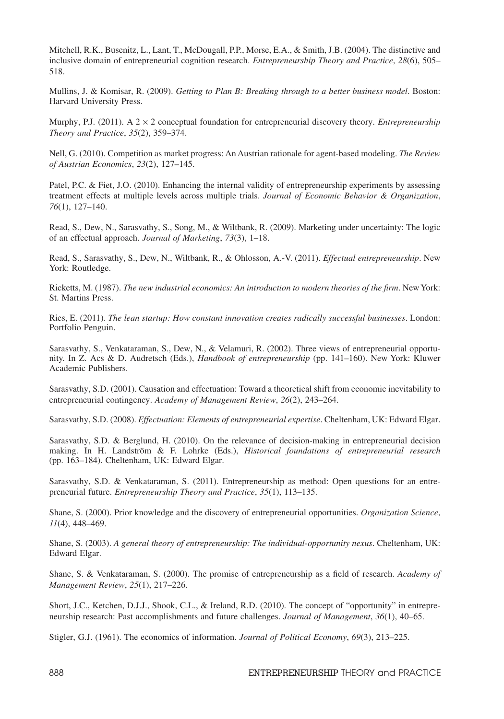Mitchell, R.K., Busenitz, L., Lant, T., McDougall, P.P., Morse, E.A., & Smith, J.B. (2004). The distinctive and inclusive domain of entrepreneurial cognition research. *Entrepreneurship Theory and Practice*, *28*(6), 505– 518.

Mullins, J. & Komisar, R. (2009). *Getting to Plan B: Breaking through to a better business model*. Boston: Harvard University Press.

Murphy, P.J. (2011). A 2 × 2 conceptual foundation for entrepreneurial discovery theory. *Entrepreneurship Theory and Practice*, *35*(2), 359–374.

Nell, G. (2010). Competition as market progress: An Austrian rationale for agent-based modeling. *The Review of Austrian Economics*, *23*(2), 127–145.

Patel, P.C. & Fiet, J.O. (2010). Enhancing the internal validity of entrepreneurship experiments by assessing treatment effects at multiple levels across multiple trials. *Journal of Economic Behavior & Organization*, *76*(1), 127–140.

Read, S., Dew, N., Sarasvathy, S., Song, M., & Wiltbank, R. (2009). Marketing under uncertainty: The logic of an effectual approach. *Journal of Marketing*, *73*(3), 1–18.

Read, S., Sarasvathy, S., Dew, N., Wiltbank, R., & Ohlosson, A.-V. (2011). *Effectual entrepreneurship*. New York: Routledge.

Ricketts, M. (1987). *The new industrial economics: An introduction to modern theories of the firm*. New York: St. Martins Press.

Ries, E. (2011). *The lean startup: How constant innovation creates radically successful businesses*. London: Portfolio Penguin.

Sarasvathy, S., Venkataraman, S., Dew, N., & Velamuri, R. (2002). Three views of entrepreneurial opportunity. In Z. Acs & D. Audretsch (Eds.), *Handbook of entrepreneurship* (pp. 141–160). New York: Kluwer Academic Publishers.

Sarasvathy, S.D. (2001). Causation and effectuation: Toward a theoretical shift from economic inevitability to entrepreneurial contingency. *Academy of Management Review*, *26*(2), 243–264.

Sarasvathy, S.D. (2008). *Effectuation: Elements of entrepreneurial expertise*. Cheltenham, UK: Edward Elgar.

Sarasvathy, S.D. & Berglund, H. (2010). On the relevance of decision-making in entrepreneurial decision making. In H. Landström & F. Lohrke (Eds.), *Historical foundations of entrepreneurial research* (pp. 163–184). Cheltenham, UK: Edward Elgar.

Sarasvathy, S.D. & Venkataraman, S. (2011). Entrepreneurship as method: Open questions for an entrepreneurial future. *Entrepreneurship Theory and Practice*, *35*(1), 113–135.

Shane, S. (2000). Prior knowledge and the discovery of entrepreneurial opportunities. *Organization Science*, *11*(4), 448–469.

Shane, S. (2003). *A general theory of entrepreneurship: The individual-opportunity nexus*. Cheltenham, UK: Edward Elgar.

Shane, S. & Venkataraman, S. (2000). The promise of entrepreneurship as a field of research. *Academy of Management Review*, *25*(1), 217–226.

Short, J.C., Ketchen, D.J.J., Shook, C.L., & Ireland, R.D. (2010). The concept of "opportunity" in entrepreneurship research: Past accomplishments and future challenges. *Journal of Management*, *36*(1), 40–65.

Stigler, G.J. (1961). The economics of information. *Journal of Political Economy*, *69*(3), 213–225.